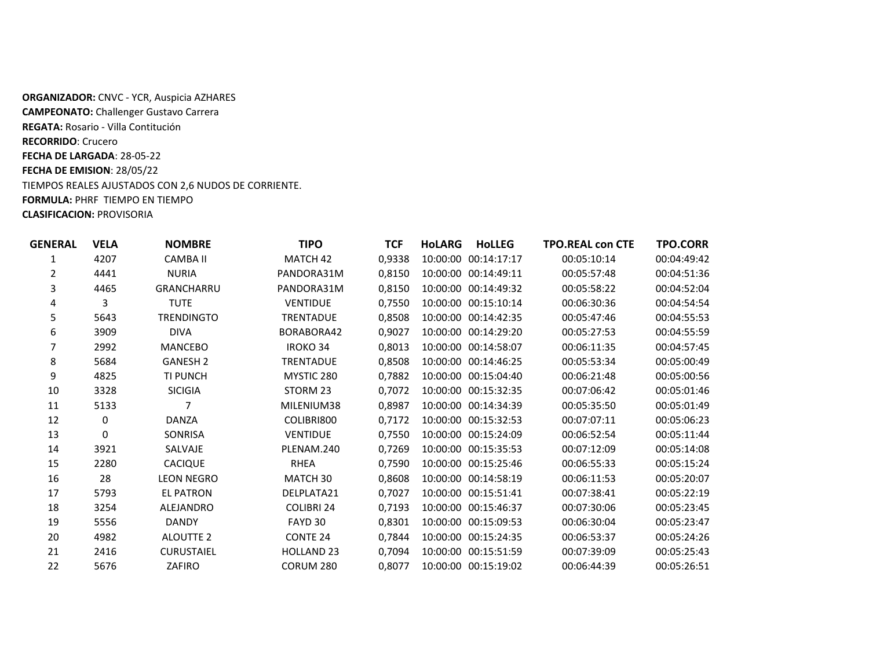**ORGANIZADOR:** CNVC - YCR, Auspicia AZHARES **CAMPEONATO:** Challenger Gustavo Carrera **REGATA:** Rosario - Villa Contitución **RECORRIDO**: Crucero **FECHA DE LARGADA**: 28-05-22 **FECHA DE EMISION**: 28/05/22 TIEMPOS REALES AJUSTADOS CON 2,6 NUDOS DE CORRIENTE. **FORMULA:** PHRF TIEMPO EN TIEMPO **CLASIFICACION:** PROVISORIA

| GENERAL | <b>VELA</b> | <b>NOMBRE</b>     | <b>TIPO</b>         | TCF    | <b>HoLLEG</b><br><b>HoLARG</b> | <b>TPO.REAL con CTE</b> | <b>TPO.CORR</b> |
|---------|-------------|-------------------|---------------------|--------|--------------------------------|-------------------------|-----------------|
| 1       | 4207        | <b>CAMBA II</b>   | MATCH 42            | 0,9338 | 10:00:00 00:14:17:17           | 00:05:10:14             | 00:04:49:42     |
| 2       | 4441        | <b>NURIA</b>      | PANDORA31M          | 0,8150 | 10:00:00 00:14:49:11           | 00:05:57:48             | 00:04:51:36     |
| 3       | 4465        | <b>GRANCHARRU</b> | PANDORA31M          | 0,8150 | 10:00:00 00:14:49:32           | 00:05:58:22             | 00:04:52:04     |
| 4       | 3           | <b>TUTE</b>       | <b>VENTIDUE</b>     | 0,7550 | 10:00:00 00:15:10:14           | 00:06:30:36             | 00:04:54:54     |
| 5       | 5643        | <b>TRENDINGTO</b> | <b>TRENTADUE</b>    | 0,8508 | 10:00:00 00:14:42:35           | 00:05:47:46             | 00:04:55:53     |
| 6       | 3909        | <b>DIVA</b>       | BORABORA42          | 0,9027 | 10:00:00 00:14:29:20           | 00:05:27:53             | 00:04:55:59     |
| 7       | 2992        | <b>MANCEBO</b>    | <b>IROKO 34</b>     | 0,8013 | 10:00:00 00:14:58:07           | 00:06:11:35             | 00:04:57:45     |
| 8       | 5684        | <b>GANESH 2</b>   | <b>TRENTADUE</b>    | 0,8508 | 10:00:00 00:14:46:25           | 00:05:53:34             | 00:05:00:49     |
| 9       | 4825        | <b>TI PUNCH</b>   | MYSTIC 280          | 0,7882 | 10:00:00 00:15:04:40           | 00:06:21:48             | 00:05:00:56     |
| 10      | 3328        | <b>SICIGIA</b>    | STORM 23            | 0,7072 | 10:00:00 00:15:32:35           | 00:07:06:42             | 00:05:01:46     |
| 11      | 5133        |                   | MILENIUM38          | 0,8987 | 10:00:00 00:14:34:39           | 00:05:35:50             | 00:05:01:49     |
| 12      | 0           | <b>DANZA</b>      | COLIBRI800          | 0,7172 | 10:00:00 00:15:32:53           | 00:07:07:11             | 00:05:06:23     |
| 13      | 0           | <b>SONRISA</b>    | <b>VENTIDUE</b>     | 0,7550 | 10:00:00 00:15:24:09           | 00:06:52:54             | 00:05:11:44     |
| 14      | 3921        | SALVAJE           | PLENAM.240          | 0,7269 | 10:00:00 00:15:35:53           | 00:07:12:09             | 00:05:14:08     |
| 15      | 2280        | <b>CACIQUE</b>    | <b>RHEA</b>         | 0,7590 | 10:00:00 00:15:25:46           | 00:06:55:33             | 00:05:15:24     |
| 16      | 28          | <b>LEON NEGRO</b> | MATCH 30            | 0,8608 | 10:00:00 00:14:58:19           | 00:06:11:53             | 00:05:20:07     |
| 17      | 5793        | <b>EL PATRON</b>  | DELPLATA21          | 0,7027 | 10:00:00 00:15:51:41           | 00:07:38:41             | 00:05:22:19     |
| 18      | 3254        | <b>ALEJANDRO</b>  | <b>COLIBRI 24</b>   | 0,7193 | 10:00:00 00:15:46:37           | 00:07:30:06             | 00:05:23:45     |
| 19      | 5556        | <b>DANDY</b>      | FAYD 30             | 0,8301 | 10:00:00 00:15:09:53           | 00:06:30:04             | 00:05:23:47     |
| 20      | 4982        | <b>ALOUTTE 2</b>  | CONTE <sub>24</sub> | 0.7844 | 10:00:00 00:15:24:35           | 00:06:53:37             | 00:05:24:26     |
| 21      | 2416        | <b>CURUSTAIEL</b> | <b>HOLLAND 23</b>   | 0,7094 | 10:00:00 00:15:51:59           | 00:07:39:09             | 00:05:25:43     |
| 22      | 5676        | ZAFIRO            | CORUM 280           | 0,8077 | 10:00:00 00:15:19:02           | 00:06:44:39             | 00:05:26:51     |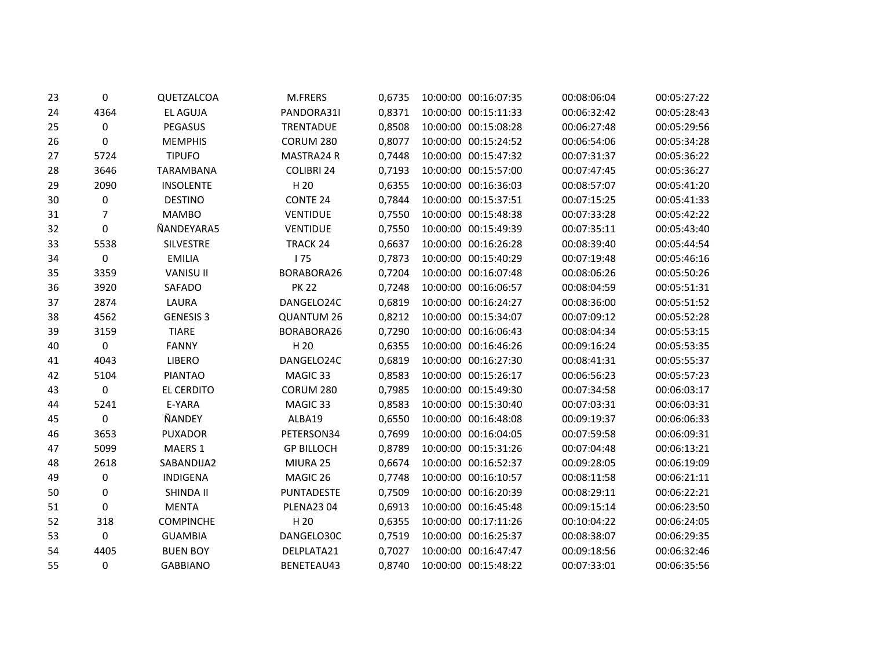| 23 | 0        | QUETZALCOA       | M.FRERS             | 0,6735 | 10:00:00 00:16:07:35 | 00:08:06:04 | 00:05:27:22 |
|----|----------|------------------|---------------------|--------|----------------------|-------------|-------------|
| 24 | 4364     | <b>EL AGUJA</b>  | PANDORA31I          | 0,8371 | 10:00:00 00:15:11:33 | 00:06:32:42 | 00:05:28:43 |
| 25 | 0        | PEGASUS          | <b>TRENTADUE</b>    | 0,8508 | 10:00:00 00:15:08:28 | 00:06:27:48 | 00:05:29:56 |
| 26 | $\Omega$ | <b>MEMPHIS</b>   | CORUM 280           | 0,8077 | 10:00:00 00:15:24:52 | 00:06:54:06 | 00:05:34:28 |
| 27 | 5724     | <b>TIPUFO</b>    | MASTRA24 R          | 0,7448 | 10:00:00 00:15:47:32 | 00:07:31:37 | 00:05:36:22 |
| 28 | 3646     | TARAMBANA        | <b>COLIBRI 24</b>   | 0,7193 | 10:00:00 00:15:57:00 | 00:07:47:45 | 00:05:36:27 |
| 29 | 2090     | <b>INSOLENTE</b> | H 20                | 0,6355 | 10:00:00 00:16:36:03 | 00:08:57:07 | 00:05:41:20 |
| 30 | 0        | <b>DESTINO</b>   | CONTE <sub>24</sub> | 0,7844 | 10:00:00 00:15:37:51 | 00:07:15:25 | 00:05:41:33 |
| 31 | 7        | <b>MAMBO</b>     | VENTIDUE            | 0,7550 | 10:00:00 00:15:48:38 | 00:07:33:28 | 00:05:42:22 |
| 32 | 0        | ÑANDEYARA5       | <b>VENTIDUE</b>     | 0,7550 | 10:00:00 00:15:49:39 | 00:07:35:11 | 00:05:43:40 |
| 33 | 5538     | SILVESTRE        | TRACK 24            | 0,6637 | 10:00:00 00:16:26:28 | 00:08:39:40 | 00:05:44:54 |
| 34 | 0        | <b>EMILIA</b>    | 175                 | 0,7873 | 10:00:00 00:15:40:29 | 00:07:19:48 | 00:05:46:16 |
| 35 | 3359     | <b>VANISU II</b> | BORABORA26          | 0,7204 | 10:00:00 00:16:07:48 | 00:08:06:26 | 00:05:50:26 |
| 36 | 3920     | SAFADO           | <b>PK 22</b>        | 0,7248 | 10:00:00 00:16:06:57 | 00:08:04:59 | 00:05:51:31 |
| 37 | 2874     | LAURA            | DANGELO24C          | 0,6819 | 10:00:00 00:16:24:27 | 00:08:36:00 | 00:05:51:52 |
| 38 | 4562     | <b>GENESIS 3</b> | <b>QUANTUM 26</b>   | 0,8212 | 10:00:00 00:15:34:07 | 00:07:09:12 | 00:05:52:28 |
| 39 | 3159     | <b>TIARE</b>     | BORABORA26          | 0,7290 | 10:00:00 00:16:06:43 | 00:08:04:34 | 00:05:53:15 |
| 40 | 0        | <b>FANNY</b>     | H 20                | 0,6355 | 10:00:00 00:16:46:26 | 00:09:16:24 | 00:05:53:35 |
| 41 | 4043     | <b>LIBERO</b>    | DANGELO24C          | 0,6819 | 10:00:00 00:16:27:30 | 00:08:41:31 | 00:05:55:37 |
| 42 | 5104     | <b>PIANTAO</b>   | MAGIC 33            | 0,8583 | 10:00:00 00:15:26:17 | 00:06:56:23 | 00:05:57:23 |
| 43 | $\Omega$ | EL CERDITO       | CORUM 280           | 0,7985 | 10:00:00 00:15:49:30 | 00:07:34:58 | 00:06:03:17 |
| 44 | 5241     | E-YARA           | MAGIC 33            | 0,8583 | 10:00:00 00:15:30:40 | 00:07:03:31 | 00:06:03:31 |
| 45 | 0        | ÑANDEY           | ALBA19              | 0,6550 | 10:00:00 00:16:48:08 | 00:09:19:37 | 00:06:06:33 |
| 46 | 3653     | <b>PUXADOR</b>   | PETERSON34          | 0,7699 | 10:00:00 00:16:04:05 | 00:07:59:58 | 00:06:09:31 |
| 47 | 5099     | MAERS 1          | <b>GP BILLOCH</b>   | 0,8789 | 10:00:00 00:15:31:26 | 00:07:04:48 | 00:06:13:21 |
| 48 | 2618     | SABANDIJA2       | MIURA 25            | 0,6674 | 10:00:00 00:16:52:37 | 00:09:28:05 | 00:06:19:09 |
| 49 | 0        | <b>INDIGENA</b>  | MAGIC 26            | 0,7748 | 10:00:00 00:16:10:57 | 00:08:11:58 | 00:06:21:11 |
| 50 | 0        | SHINDA II        | PUNTADESTE          | 0,7509 | 10:00:00 00:16:20:39 | 00:08:29:11 | 00:06:22:21 |
| 51 | 0        | <b>MENTA</b>     | <b>PLENA2304</b>    | 0,6913 | 10:00:00 00:16:45:48 | 00:09:15:14 | 00:06:23:50 |
| 52 | 318      | <b>COMPINCHE</b> | H 20                | 0,6355 | 10:00:00 00:17:11:26 | 00:10:04:22 | 00:06:24:05 |
| 53 | 0        | <b>GUAMBIA</b>   | DANGELO30C          | 0,7519 | 10:00:00 00:16:25:37 | 00:08:38:07 | 00:06:29:35 |
| 54 | 4405     | <b>BUEN BOY</b>  | DELPLATA21          | 0,7027 | 10:00:00 00:16:47:47 | 00:09:18:56 | 00:06:32:46 |
| 55 | 0        | <b>GABBIANO</b>  | BENETEAU43          | 0,8740 | 10:00:00 00:15:48:22 | 00:07:33:01 | 00:06:35:56 |